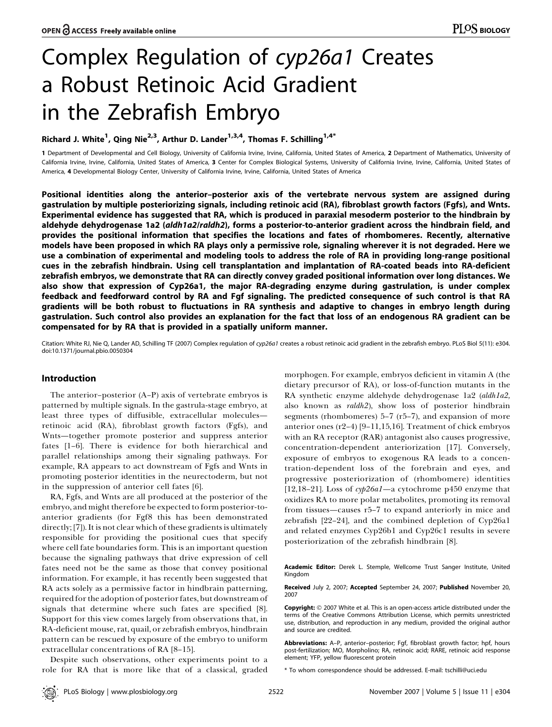# Complex Regulation of cyp26a1 Creates a Robust Retinoic Acid Gradient in the Zebrafish Embryo

## Richard J. White $^1$ , Qing Nie $^{2,3}$ , Arthur D. Lander $^{1,3,4}$ , Thomas F. Schilling $^{1,4^{\ast}}$

1 Department of Developmental and Cell Biology, University of California Irvine, California, United States of America, 2 Department of Mathematics, University of California Irvine, Irvine, California, United States of America, 3 Center for Complex Biological Systems, University of California Irvine, Irvine, California, United States of America, 4 Developmental Biology Center, University of California Irvine, Irvine, California, United States of America

Positional identities along the anterior–posterior axis of the vertebrate nervous system are assigned during gastrulation by multiple posteriorizing signals, including retinoic acid (RA), fibroblast growth factors (Fgfs), and Wnts. Experimental evidence has suggested that RA, which is produced in paraxial mesoderm posterior to the hindbrain by aldehyde dehydrogenase 1a2 (aldh1a2/raldh2), forms a posterior-to-anterior gradient across the hindbrain field, and provides the positional information that specifies the locations and fates of rhombomeres. Recently, alternative models have been proposed in which RA plays only a permissive role, signaling wherever it is not degraded. Here we use a combination of experimental and modeling tools to address the role of RA in providing long-range positional cues in the zebrafish hindbrain. Using cell transplantation and implantation of RA-coated beads into RA-deficient zebrafish embryos, we demonstrate that RA can directly convey graded positional information over long distances. We also show that expression of Cyp26a1, the major RA-degrading enzyme during gastrulation, is under complex feedback and feedforward control by RA and Fgf signaling. The predicted consequence of such control is that RA gradients will be both robust to fluctuations in RA synthesis and adaptive to changes in embryo length during gastrulation. Such control also provides an explanation for the fact that loss of an endogenous RA gradient can be compensated for by RA that is provided in a spatially uniform manner.

Citation: White RJ, Nie Q, Lander AD, Schilling TF (2007) Complex regulation of cyp26a1 creates a robust retinoic acid gradient in the zebrafish embryo. PLoS Biol 5(11): e304. doi:10.1371/journal.pbio.0050304

## Introduction

The anterior–posterior (A–P) axis of vertebrate embryos is patterned by multiple signals. In the gastrula-stage embryo, at least three types of diffusible, extracellular molecules retinoic acid (RA), fibroblast growth factors (Fgfs), and Wnts—together promote posterior and suppress anterior fates [1–6]. There is evidence for both hierarchical and parallel relationships among their signaling pathways. For example, RA appears to act downstream of Fgfs and Wnts in promoting posterior identities in the neurectoderm, but not in the suppression of anterior cell fates [6].

RA, Fgfs, and Wnts are all produced at the posterior of the embryo, and might therefore be expected to form posterior-toanterior gradients (for Fgf8 this has been demonstrated directly; [7]). It is not clear which of these gradients is ultimately responsible for providing the positional cues that specify where cell fate boundaries form. This is an important question because the signaling pathways that drive expression of cell fates need not be the same as those that convey positional information. For example, it has recently been suggested that RA acts solely as a permissive factor in hindbrain patterning, required for the adoption of posterior fates, but downstream of signals that determine where such fates are specified [8]. Support for this view comes largely from observations that, in RA-deficient mouse, rat, quail, or zebrafish embryos, hindbrain pattern can be rescued by exposure of the embryo to uniform extracellular concentrations of RA [8–15].

Despite such observations, other experiments point to a role for RA that is more like that of a classical, graded morphogen. For example, embryos deficient in vitamin A (the dietary precursor of RA), or loss-of-function mutants in the RA synthetic enzyme aldehyde dehydrogenase 1a2 (aldh1a2, also known as raldh2), show loss of posterior hindbrain segments (rhombomeres) 5–7 (r5–7), and expansion of more anterior ones (r2–4) [9–11,15,16]. Treatment of chick embryos with an RA receptor (RAR) antagonist also causes progressive, concentration-dependent anteriorization [17]. Conversely, exposure of embryos to exogenous RA leads to a concentration-dependent loss of the forebrain and eyes, and progressive posteriorization of (rhombomere) identities [12,18–21]. Loss of  $\alpha p26a1$ —a cytochrome p450 enzyme that oxidizes RA to more polar metabolites, promoting its removal from tissues—causes r5–7 to expand anteriorly in mice and zebrafish [22–24], and the combined depletion of Cyp26a1 and related enzymes Cyp26b1 and Cyp26c1 results in severe posteriorization of the zebrafish hindbrain [8].

Academic Editor: Derek L. Stemple, Wellcome Trust Sanger Institute, United Kingdom

Received July 2, 2007; Accepted September 24, 2007; Published November 20, 2007

Copyright: © 2007 White et al. This is an open-access article distributed under the terms of the Creative Commons Attribution License, which permits unrestricted use, distribution, and reproduction in any medium, provided the original author and source are credited.

Abbreviations: A-P, anterior-posterior; Fgf, fibroblast growth factor; hpf, hours post-fertilization; MO, Morpholino; RA, retinoic acid; RARE, retinoic acid response element; YFP, yellow fluorescent protein

\* To whom correspondence should be addressed. E-mail: tschilli@uci.edu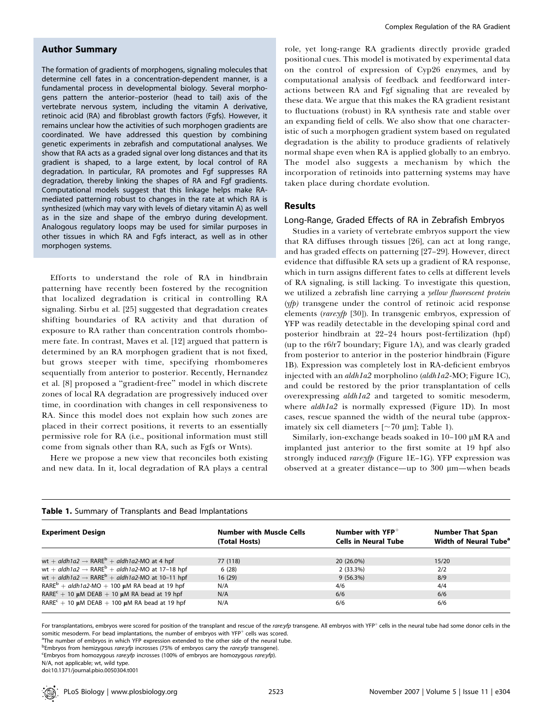## Author Summary

The formation of gradients of morphogens, signaling molecules that determine cell fates in a concentration-dependent manner, is a fundamental process in developmental biology. Several morphogens pattern the anterior–posterior (head to tail) axis of the vertebrate nervous system, including the vitamin A derivative, retinoic acid (RA) and fibroblast growth factors (Fgfs). However, it remains unclear how the activities of such morphogen gradients are coordinated. We have addressed this question by combining genetic experiments in zebrafish and computational analyses. We show that RA acts as a graded signal over long distances and that its gradient is shaped, to a large extent, by local control of RA degradation. In particular, RA promotes and Fgf suppresses RA degradation, thereby linking the shapes of RA and Fgf gradients. Computational models suggest that this linkage helps make RAmediated patterning robust to changes in the rate at which RA is synthesized (which may vary with levels of dietary vitamin A) as well as in the size and shape of the embryo during development. Analogous regulatory loops may be used for similar purposes in other tissues in which RA and Fgfs interact, as well as in other morphogen systems.

Efforts to understand the role of RA in hindbrain patterning have recently been fostered by the recognition that localized degradation is critical in controlling RA signaling. Sirbu et al. [25] suggested that degradation creates shifting boundaries of RA activity and that duration of exposure to RA rather than concentration controls rhombomere fate. In contrast, Maves et al. [12] argued that pattern is determined by an RA morphogen gradient that is not fixed, but grows steeper with time, specifying rhombomeres sequentially from anterior to posterior. Recently, Hernandez et al. [8] proposed a ''gradient-free'' model in which discrete zones of local RA degradation are progressively induced over time, in coordination with changes in cell responsiveness to RA. Since this model does not explain how such zones are placed in their correct positions, it reverts to an essentially permissive role for RA (i.e., positional information must still come from signals other than RA, such as Fgfs or Wnts).

Here we propose a new view that reconciles both existing and new data. In it, local degradation of RA plays a central

role, yet long-range RA gradients directly provide graded positional cues. This model is motivated by experimental data on the control of expression of Cyp26 enzymes, and by computational analysis of feedback and feedforward interactions between RA and Fgf signaling that are revealed by these data. We argue that this makes the RA gradient resistant to fluctuations (robust) in RA synthesis rate and stable over an expanding field of cells. We also show that one characteristic of such a morphogen gradient system based on regulated degradation is the ability to produce gradients of relatively normal shape even when RA is applied globally to an embryo. The model also suggests a mechanism by which the incorporation of retinoids into patterning systems may have taken place during chordate evolution.

### Results

#### Long-Range, Graded Effects of RA in Zebrafish Embryos

Studies in a variety of vertebrate embryos support the view that RA diffuses through tissues [26], can act at long range, and has graded effects on patterning [27–29]. However, direct evidence that diffusible RA sets up a gradient of RA response, which in turn assigns different fates to cells at different levels of RA signaling, is still lacking. To investigate this question, we utilized a zebrafish line carrying a yellow fluorescent protein (yfp) transgene under the control of retinoic acid response elements (rare:yfp [30]). In transgenic embryos, expression of YFP was readily detectable in the developing spinal cord and posterior hindbrain at 22–24 hours post-fertilization (hpf) (up to the r6/r7 boundary; Figure 1A), and was clearly graded from posterior to anterior in the posterior hindbrain (Figure 1B). Expression was completely lost in RA-deficient embryos injected with an *aldh1a2* morpholino (aldh1a2-MO; Figure 1C), and could be restored by the prior transplantation of cells overexpressing aldh1a2 and targeted to somitic mesoderm, where  $\alpha$ ldh1 $\alpha$ 2 is normally expressed (Figure 1D). In most cases, rescue spanned the width of the neural tube (approximately six cell diameters [ $\sim$ 70 µm]; Table 1).

Similarly, ion-exchange beads soaked in  $10-100 \mu M$  RA and implanted just anterior to the first somite at 19 hpf also strongly induced rare:yfp (Figure 1E-1G). YFP expression was observed at a greater distance—up to 300 µm—when beads

| <b>Table 1.</b> Julianary Of Hanspiants and bead implantations         |                                                  |                                                    |                                                              |  |  |  |  |  |  |
|------------------------------------------------------------------------|--------------------------------------------------|----------------------------------------------------|--------------------------------------------------------------|--|--|--|--|--|--|
| <b>Experiment Design</b>                                               | <b>Number with Muscle Cells</b><br>(Total Hosts) | Number with $YFP^+$<br><b>Cells in Neural Tube</b> | <b>Number That Span</b><br>Width of Neural Tube <sup>a</sup> |  |  |  |  |  |  |
| wt + aldh1a2 $\rightarrow$ RARE <sup>b</sup> + aldh1a2-MO at 4 hpf     | 77 (118)                                         | 20 (26.0%)                                         | 15/20                                                        |  |  |  |  |  |  |
| wt + aldh1a2 $\rightarrow$ RARE <sup>b</sup> + aldh1a2-MO at 17-18 hpf | 6(28)                                            | $2(33.3\%)$                                        | 2/2                                                          |  |  |  |  |  |  |
| wt + aldh1a2 $\rightarrow$ RARE <sup>b</sup> + aldh1a2-MO at 10-11 hpf | 16(29)                                           | 9(56.3%)                                           | 8/9                                                          |  |  |  |  |  |  |
| RARE <sup>b</sup> + aldh1a2-MO + 100 $\mu$ M RA bead at 19 hpf         | N/A                                              | 4/6                                                | 4/4                                                          |  |  |  |  |  |  |
| RARE <sup>c</sup> + 10 µM DEAB + 10 µM RA bead at 19 hpf               | N/A                                              | 6/6                                                | 6/6                                                          |  |  |  |  |  |  |
| RARE <sup>c</sup> + 10 $\mu$ M DEAB + 100 $\mu$ M RA bead at 19 hpf    | N/A                                              | 6/6                                                | 6/6                                                          |  |  |  |  |  |  |

|  |  |  |  | Table 1. Summary of Transplants and Bead Implantations |  |  |  |  |
|--|--|--|--|--------------------------------------------------------|--|--|--|--|
|--|--|--|--|--------------------------------------------------------|--|--|--|--|

For transplantations, embryos were scored for position of the transplant and rescue of the rare:yfp transgene. All embryos with YFP<sup>+</sup> cells in the neural tube had some donor cells in the somitic mesoderm. For bead implantations, the number of embryos with  $YFP^+$  cells was scored.

<sup>a</sup>The number of embryos in which YFP expression extended to the other side of the neural tube.

b Embryos from hemizygous rare:yfp incrosses (75% of embryos carry the rare:yfp transgene).<br>Embryos from home russus rareyfn incrosses (199% of embryos are home russus rareyfn)

Embryos from homozygous rare:yfp incrosses (100% of embryos are homozygous rare:yfp).

N/A, not applicable; wt, wild type.

doi:10.1371/journal.pbio.0050304.t001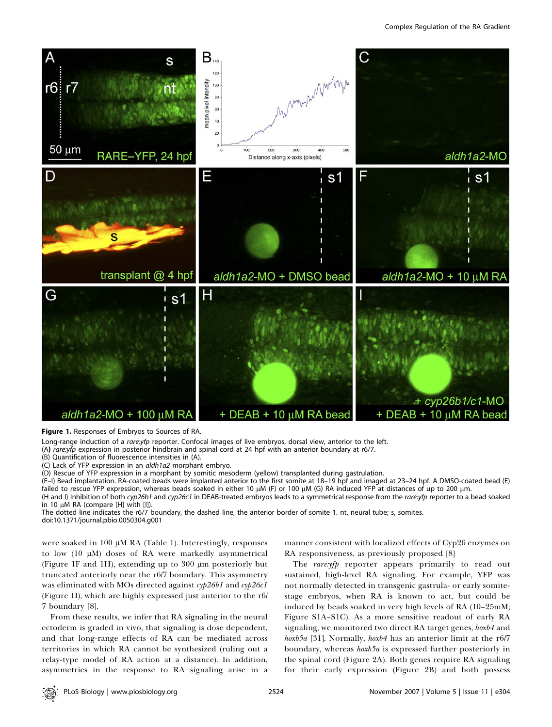

Figure 1. Responses of Embryos to Sources of RA.

Long-range induction of a rare:yfp reporter. Confocal images of live embryos, dorsal view, anterior to the left.

(A) rare:yfp expression in posterior hindbrain and spinal cord at 24 hpf with an anterior boundary at r6/7.

(B) Quantification of fluorescence intensities in (A).

(C) Lack of YFP expression in an aldh1a2 morphant embryo.

(D) Rescue of YFP expression in a morphant by somitic mesoderm (yellow) transplanted during gastrulation.

(E–I) Bead implantation. RA-coated beads were implanted anterior to the first somite at 18–19 hpf and imaged at 23–24 hpf. A DMSO-coated bead (E) failed to rescue YFP expression, whereas beads soaked in either 10 μM (F) or 100 μM (G) RA induced YFP at distances of up to 200 μm.

(H and I) Inhibition of both cyp26b1 and cyp26c1 in DEAB-treated embryos leads to a symmetrical response from the rare:yfp reporter to a bead soaked in 10 uM RA (compare [H] with [I]).

The dotted line indicates the r6/7 boundary, the dashed line, the anterior border of somite 1. nt, neural tube; s, somites. doi:10.1371/journal.pbio.0050304.g001

were soaked in  $100 \mu M$  RA (Table 1). Interestingly, responses to low  $(10 \mu M)$  doses of RA were markedly asymmetrical (Figure 1F and 1H), extending up to  $300 \mu m$  posteriorly but truncated anteriorly near the r6/7 boundary. This asymmetry was eliminated with MOs directed against  $\alpha p^26b1$  and  $\alpha p^26c1$ (Figure 1I), which are highly expressed just anterior to the r6/ 7 boundary [8].

From these results, we infer that RA signaling in the neural ectoderm is graded in vivo, that signaling is dose dependent, and that long-range effects of RA can be mediated across territories in which RA cannot be synthesized (ruling out a relay-type model of RA action at a distance). In addition, asymmetries in the response to RA signaling arise in a

manner consistent with localized effects of Cyp26 enzymes on RA responsiveness, as previously proposed [8]

The rare: yfp reporter appears primarily to read out sustained, high-level RA signaling. For example, YFP was not normally detected in transgenic gastrula- or early somitestage embryos, when RA is known to act, but could be induced by beads soaked in very high levels of RA (10–25mM; Figure S1A–S1C). As a more sensitive readout of early RA signaling, we monitored two direct RA target genes, hoxb4 and hoxb5a [31]. Normally, hoxb4 has an anterior limit at the r6/7 boundary, whereas hoxb5a is expressed further posteriorly in the spinal cord (Figure 2A). Both genes require RA signaling for their early expression (Figure 2B) and both possess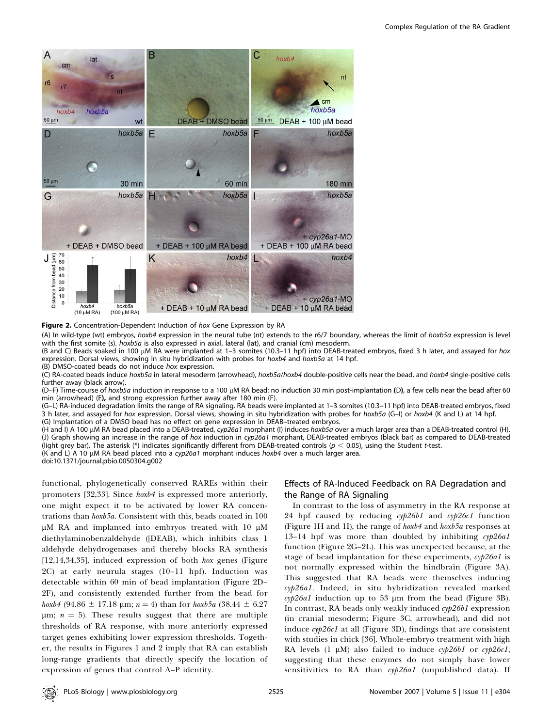

#### Figure 2. Concentration-Dependent Induction of hox Gene Expression by RA

(A) In wild-type (wt) embryos, hoxb4 expression in the neural tube (nt) extends to the r6/7 boundary, whereas the limit of hoxb5a expression is level with the first somite (s).  $hoxb5a$  is also expressed in axial, lateral (lat), and cranial (cm) mesoderm.

(B and C) Beads soaked in 100 µM RA were implanted at 1–3 somites (10.3–11 hpf) into DEAB-treated embryos, fixed 3 h later, and assayed for hox expression. Dorsal views, showing in situ hybridization with probes for hoxb4 and hoxb5a at 14 hpf.

(B) DMSO-coated beads do not induce hox expression.

(C) RA-coated beads induce hoxb5a in lateral mesoderm (arrowhead), hoxb5a/hoxb4 double-positive cells near the bead, and hoxb4 single-positive cells further away (black arrow).

(D–F) Time-course of hoxb5a induction in response to a 100 µM RA bead: no induction 30 min post-implantation (D), a few cells near the bead after 60 min (arrowhead) (E), and strong expression further away after 180 min (F).

(G–L) RA-induced degradation limits the range of RA signaling. RA beads were implanted at 1–3 somites (10.3–11 hpf) into DEAB-treated embryos, fixed 3 h later, and assayed for hox expression. Dorsal views, showing in situ hybridization with probes for hoxb5a (G–I) or hoxb4 (K and L) at 14 hpf. (G) Implantation of a DMSO bead has no effect on gene expression in DEAB–treated embryos.

(H and I) A 100 µM RA bead placed into a DEAB-treated, cyp26a1 morphant (I) induces hoxb5a over a much larger area than a DEAB-treated control (H). (J) Graph showing an increase in the range of hox induction in cyp26a1 morphant, DEAB-treated embryos (black bar) as compared to DEAB-treated (light grey bar). The asterisk (\*) indicates significantly different from DEAB-treated controls ( $p < 0.05$ ), using the Student t-test. (K and L) A 10  $\mu$ M RA bead placed into a cyp26a1 morphant induces hoxb4 over a much larger area.

doi:10.1371/journal.pbio.0050304.g002

functional, phylogenetically conserved RAREs within their promoters [32,33]. Since hoxb4 is expressed more anteriorly, one might expect it to be activated by lower RA concentrations than hoxb5a. Consistent with this, beads coated in 100  $\mu$ M RA and implanted into embryos treated with 10  $\mu$ M diethylaminobenzaldehyde ([DEAB), which inhibits class 1 aldehyde dehydrogenases and thereby blocks RA synthesis [12,14,34,35], induced expression of both hox genes (Figure 2C) at early neurula stages (10–11 hpf). Induction was detectable within 60 min of bead implantation (Figure 2D– 2F), and consistently extended further from the bead for hoxb4 (94.86  $\pm$  17.18 µm; n = 4) than for hoxb5a (38.44  $\pm$  6.27  $\mu$ m;  $n = 5$ ). These results suggest that there are multiple thresholds of RA response, with more anteriorly expressed target genes exhibiting lower expression thresholds. Together, the results in Figures 1 and 2 imply that RA can establish long-range gradients that directly specify the location of expression of genes that control A–P identity.

## Effects of RA-Induced Feedback on RA Degradation and the Range of RA Signaling

In contrast to the loss of asymmetry in the RA response at 24 hpf caused by reducing  $\exp 26b1$  and  $\exp 26c1$  function (Figure 1H and 1I), the range of  $h \circ \mathbf{z}$  and  $h \circ \mathbf{z}$  responses at 13-14 hpf was more than doubled by inhibiting  $\exp 26a1$ function (Figure 2G–2L). This was unexpected because, at the stage of bead implantation for these experiments,  $\alpha p26a1$  is not normally expressed within the hindbrain (Figure 3A). This suggested that RA beads were themselves inducing cyp26a1. Indeed, in situ hybridization revealed marked  $\alpha$ yp26a1 induction up to 53 µm from the bead (Figure 3B). In contrast, RA beads only weakly induced  $\alpha$ *yp26b1* expression (in cranial mesoderm; Figure 3C, arrowhead), and did not induce cyp26c1 at all (Figure 3D), findings that are consistent with studies in chick [36]. Whole-embryo treatment with high RA levels  $(1 \mu M)$  also failed to induce cyp26b1 or cyp26c1, suggesting that these enzymes do not simply have lower sensitivities to RA than cyp26a1 (unpublished data). If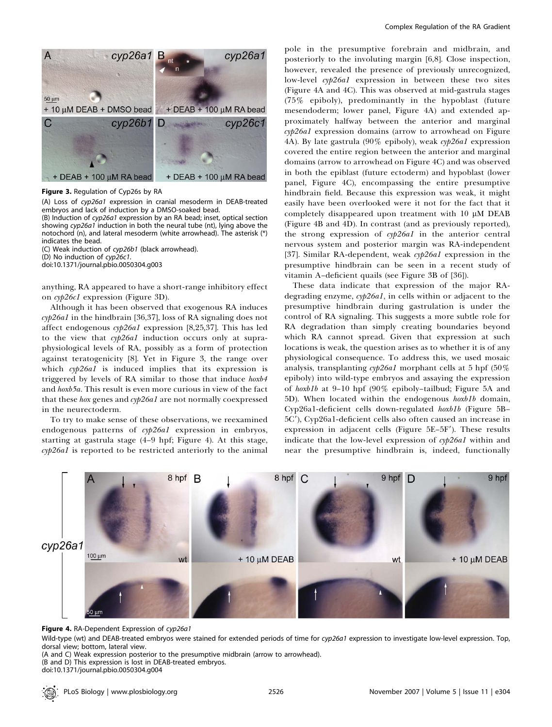

Figure 3. Regulation of Cyp26s by RA

(A) Loss of cyp26a1 expression in cranial mesoderm in DEAB-treated embryos and lack of induction by a DMSO-soaked bead.

(B) Induction of cyp26a1 expression by an RA bead; inset, optical section showing cyp26a1 induction in both the neural tube (nt), lying above the notochord (n), and lateral mesoderm (white arrowhead). The asterisk (\*) indicates the bead.

(C) Weak induction of cyp26b1 (black arrowhead).

(D) No induction of cyp26c1.

doi:10.1371/journal.pbio.0050304.g003

anything, RA appeared to have a short-range inhibitory effect on cyp26c1 expression (Figure 3D).

Although it has been observed that exogenous RA induces  $\alpha$ p $\beta$ 6a1 in the hindbrain [36,37], loss of RA signaling does not affect endogenous cyp26a1 expression [8,25,37]. This has led to the view that cyp26a1 induction occurs only at supraphysiological levels of RA, possibly as a form of protection against teratogenicity [8]. Yet in Figure 3, the range over which cyp26a1 is induced implies that its expression is triggered by levels of RA similar to those that induce hoxb4 and *hoxb5a*. This result is even more curious in view of the fact that these hox genes and cyp26a1 are not normally coexpressed in the neurectoderm.

To try to make sense of these observations, we reexamined endogenous patterns of cyp26a1 expression in embryos, starting at gastrula stage (4–9 hpf; Figure 4). At this stage, cyp26a1 is reported to be restricted anteriorly to the animal

pole in the presumptive forebrain and midbrain, and posteriorly to the involuting margin [6,8]. Close inspection, however, revealed the presence of previously unrecognized, low-level cyp26a1 expression in between these two sites (Figure 4A and 4C). This was observed at mid-gastrula stages (75% epiboly), predominantly in the hypoblast (future mesendoderm; lower panel, Figure 4A) and extended approximately halfway between the anterior and marginal cyp26a1 expression domains (arrow to arrowhead on Figure 4A). By late gastrula (90% epiboly), weak  $\alpha$ *p26a1* expression covered the entire region between the anterior and marginal domains (arrow to arrowhead on Figure 4C) and was observed in both the epiblast (future ectoderm) and hypoblast (lower panel, Figure 4C), encompassing the entire presumptive hindbrain field. Because this expression was weak, it might easily have been overlooked were it not for the fact that it completely disappeared upon treatment with  $10 \mu M$  DEAB (Figure 4B and 4D). In contrast (and as previously reported), the strong expression of cyp26a1 in the anterior central nervous system and posterior margin was RA-independent [37]. Similar RA-dependent, weak cyp26a1 expression in the presumptive hindbrain can be seen in a recent study of vitamin A–deficient quails (see Figure 3B of [36]).

These data indicate that expression of the major RAdegrading enzyme, cyp26a1, in cells within or adjacent to the presumptive hindbrain during gastrulation is under the control of RA signaling. This suggests a more subtle role for RA degradation than simply creating boundaries beyond which RA cannot spread. Given that expression at such locations is weak, the question arises as to whether it is of any physiological consequence. To address this, we used mosaic analysis, transplanting  $\alpha p26a1$  morphant cells at 5 hpf (50%) epiboly) into wild-type embryos and assaying the expression of hoxb1b at 9–10 hpf (90% epiboly–tailbud; Figure 5A and 5D). When located within the endogenous hoxb1b domain, Cyp26a1-deficient cells down-regulated hoxb1b (Figure 5B– 5C9), Cyp26a1-deficient cells also often caused an increase in expression in adjacent cells (Figure  $5E-5F'$ ). These results indicate that the low-level expression of cyp26a1 within and near the presumptive hindbrain is, indeed, functionally



Figure 4. RA-Dependent Expression of cyp26a1

Wild-type (wt) and DEAB-treated embryos were stained for extended periods of time for cyp26a1 expression to investigate low-level expression. Top, dorsal view; bottom, lateral view.

(A and C) Weak expression posterior to the presumptive midbrain (arrow to arrowhead).

(B and D) This expression is lost in DEAB-treated embryos.

doi:10.1371/journal.pbio.0050304.g004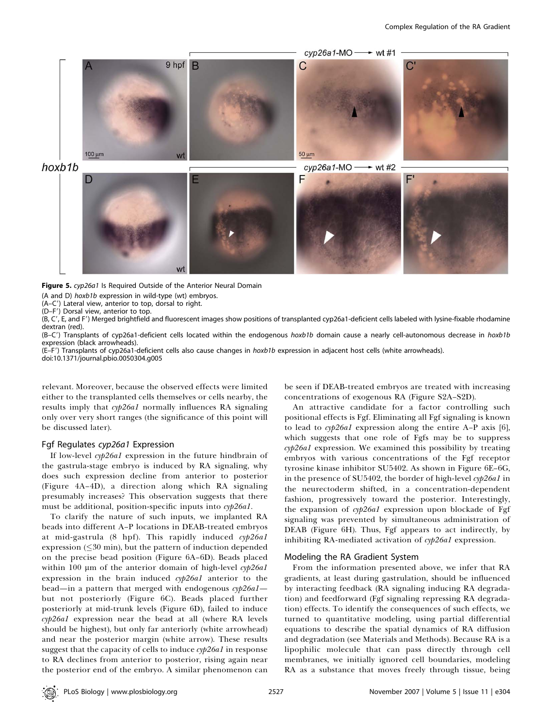

Figure 5. cyp26a1 Is Required Outside of the Anterior Neural Domain

(A and D) hoxb1b expression in wild-type (wt) embryos.

(A–C') Lateral view, anterior to top, dorsal to right.

(D-F') Dorsal view, anterior to top.

(B, C9, E, and F9) Merged brightfield and fluorescent images show positions of transplanted cyp26a1-deficient cells labeled with lysine-fixable rhodamine dextran (red).

(B-C') Transplants of cyp26a1-deficient cells located within the endogenous hoxb1b domain cause a nearly cell-autonomous decrease in hoxb1b expression (black arrowheads).

(E–F') Transplants of cyp26a1-deficient cells also cause changes in hoxb1b expression in adjacent host cells (white arrowheads). doi:10.1371/journal.pbio.0050304.g005

relevant. Moreover, because the observed effects were limited either to the transplanted cells themselves or cells nearby, the results imply that  $\epsilon \psi/26aI$  normally influences RA signaling only over very short ranges (the significance of this point will be discussed later).

## Fgf Regulates cyp26a1 Expression

If low-level cyp26a1 expression in the future hindbrain of the gastrula-stage embryo is induced by RA signaling, why does such expression decline from anterior to posterior (Figure 4A–4D), a direction along which RA signaling presumably increases? This observation suggests that there must be additional, position-specific inputs into cyp26a1.

To clarify the nature of such inputs, we implanted RA beads into different A–P locations in DEAB-treated embryos at mid-gastrula  $(8 \text{ hpf})$ . This rapidly induced cyp26al  $expression (\leq 30 min)$ , but the pattern of induction depended on the precise bead position (Figure 6A–6D). Beads placed within 100  $\mu$ m of the anterior domain of high-level cyp26a1 expression in the brain induced cyp26al anterior to the bead—in a pattern that merged with endogenous  $\epsilon \gamma p 26a1$  but not posteriorly (Figure 6C). Beads placed further posteriorly at mid-trunk levels (Figure 6D), failed to induce cyp26a1 expression near the bead at all (where RA levels should be highest), but only far anteriorly (white arrowhead) and near the posterior margin (white arrow). These results suggest that the capacity of cells to induce cyp26a1 in response to RA declines from anterior to posterior, rising again near the posterior end of the embryo. A similar phenomenon can

be seen if DEAB-treated embryos are treated with increasing concentrations of exogenous RA (Figure S2A–S2D).

An attractive candidate for a factor controlling such positional effects is Fgf. Eliminating all Fgf signaling is known to lead to cyp26a1 expression along the entire A–P axis [6], which suggests that one role of Fgfs may be to suppress cyp26a1 expression. We examined this possibility by treating embryos with various concentrations of the Fgf receptor tyrosine kinase inhibitor SU5402. As shown in Figure 6E–6G, in the presence of SU5402, the border of high-level cyp26a1 in the neurectoderm shifted, in a concentration-dependent fashion, progressively toward the posterior. Interestingly, the expansion of cyp26a1 expression upon blockade of Fgf signaling was prevented by simultaneous administration of DEAB (Figure 6H). Thus, Fgf appears to act indirectly, by inhibiting RA-mediated activation of cyp26a1 expression.

#### Modeling the RA Gradient System

From the information presented above, we infer that RA gradients, at least during gastrulation, should be influenced by interacting feedback (RA signaling inducing RA degradation) and feedforward (Fgf signaling repressing RA degradation) effects. To identify the consequences of such effects, we turned to quantitative modeling, using partial differential equations to describe the spatial dynamics of RA diffusion and degradation (see Materials and Methods). Because RA is a lipophilic molecule that can pass directly through cell membranes, we initially ignored cell boundaries, modeling RA as a substance that moves freely through tissue, being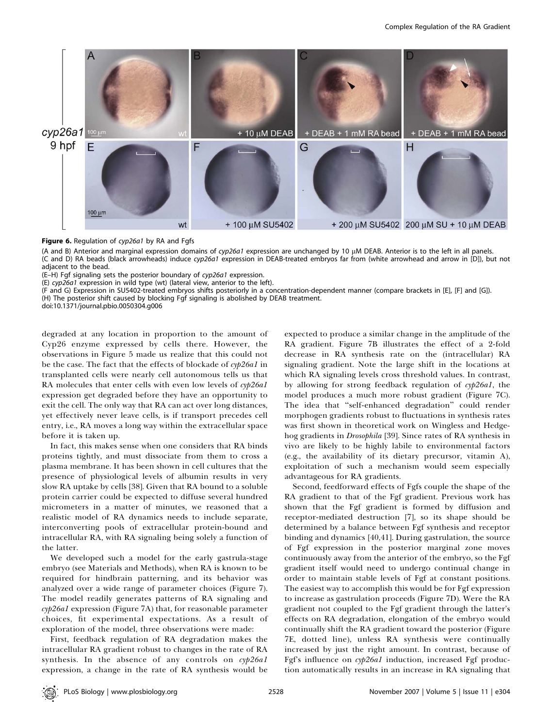

Figure 6. Regulation of cyp26a1 by RA and Fgfs

(A and B) Anterior and marginal expression domains of cyp26a1 expression are unchanged by 10  $\mu$ M DEAB. Anterior is to the left in all panels. (C and D) RA beads (black arrowheads) induce cyp26a1 expression in DEAB-treated embryos far from (white arrowhead and arrow in [D]), but not adjacent to the bead.

(E–H) Fgf signaling sets the posterior boundary of cyp26a1 expression.

(E) cyp26a1 expression in wild type (wt) (lateral view, anterior to the left).

(F and G) Expression in SU5402-treated embryos shifts posteriorly in a concentration-dependent manner (compare brackets in [E], [F] and [G]). (H) The posterior shift caused by blocking Fgf signaling is abolished by DEAB treatment.

doi:10.1371/journal.pbio.0050304.g006

degraded at any location in proportion to the amount of Cyp26 enzyme expressed by cells there. However, the observations in Figure 5 made us realize that this could not be the case. The fact that the effects of blockade of cyp26a1 in transplanted cells were nearly cell autonomous tells us that RA molecules that enter cells with even low levels of cyp26a1 expression get degraded before they have an opportunity to exit the cell. The only way that RA can act over long distances, yet effectively never leave cells, is if transport precedes cell entry, i.e., RA moves a long way within the extracellular space before it is taken up.

In fact, this makes sense when one considers that RA binds proteins tightly, and must dissociate from them to cross a plasma membrane. It has been shown in cell cultures that the presence of physiological levels of albumin results in very slow RA uptake by cells [38]. Given that RA bound to a soluble protein carrier could be expected to diffuse several hundred micrometers in a matter of minutes, we reasoned that a realistic model of RA dynamics needs to include separate, interconverting pools of extracellular protein-bound and intracellular RA, with RA signaling being solely a function of the latter.

We developed such a model for the early gastrula-stage embryo (see Materials and Methods), when RA is known to be required for hindbrain patterning, and its behavior was analyzed over a wide range of parameter choices (Figure 7). The model readily generates patterns of RA signaling and cyp26a1 expression (Figure 7A) that, for reasonable parameter choices, fit experimental expectations. As a result of exploration of the model, three observations were made:

First, feedback regulation of RA degradation makes the intracellular RA gradient robust to changes in the rate of RA synthesis. In the absence of any controls on cyp26a1 expression, a change in the rate of RA synthesis would be

expected to produce a similar change in the amplitude of the RA gradient. Figure 7B illustrates the effect of a 2-fold decrease in RA synthesis rate on the (intracellular) RA signaling gradient. Note the large shift in the locations at which RA signaling levels cross threshold values. In contrast, by allowing for strong feedback regulation of cyp26a1, the model produces a much more robust gradient (Figure 7C). The idea that ''self-enhanced degradation'' could render morphogen gradients robust to fluctuations in synthesis rates was first shown in theoretical work on Wingless and Hedgehog gradients in Drosophila [39]. Since rates of RA synthesis in vivo are likely to be highly labile to environmental factors (e.g., the availability of its dietary precursor, vitamin A), exploitation of such a mechanism would seem especially advantageous for RA gradients.

Second, feedforward effects of Fgfs couple the shape of the RA gradient to that of the Fgf gradient. Previous work has shown that the Fgf gradient is formed by diffusion and receptor-mediated destruction [7], so its shape should be determined by a balance between Fgf synthesis and receptor binding and dynamics [40,41]. During gastrulation, the source of Fgf expression in the posterior marginal zone moves continuously away from the anterior of the embryo, so the Fgf gradient itself would need to undergo continual change in order to maintain stable levels of Fgf at constant positions. The easiest way to accomplish this would be for Fgf expression to increase as gastrulation proceeds (Figure 7D). Were the RA gradient not coupled to the Fgf gradient through the latter's effects on RA degradation, elongation of the embryo would continually shift the RA gradient toward the posterior (Figure 7E, dotted line), unless RA synthesis were continually increased by just the right amount. In contrast, because of Fgf's influence on cyp26a1 induction, increased Fgf production automatically results in an increase in RA signaling that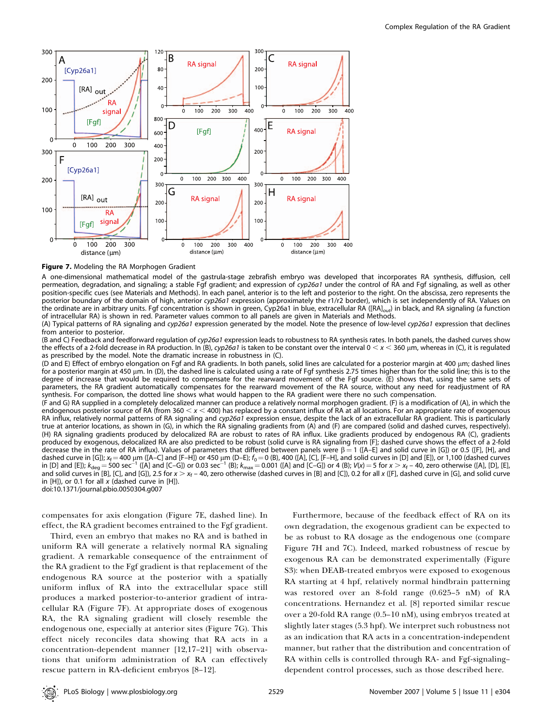

#### Figure 7. Modeling the RA Morphogen Gradient

A one-dimensional mathematical model of the gastrula-stage zebrafish embryo was developed that incorporates RA synthesis, diffusion, cell permeation, degradation, and signaling; a stable Fgf gradient; and expression of cyp26a1 under the control of RA and Fgf signaling, as well as other position-specific cues (see Materials and Methods). In each panel, anterior is to the left and posterior to the right. On the abscissa, zero represents the posterior boundary of the domain of high, anterior cyp26a1 expression (approximately the r1/r2 border), which is set independently of RA. Values on the ordinate are in arbitrary units. Fgf concentration is shown in green, Cyp26a1 in blue, extracellular RA ([RA]<sub>out</sub>) in black, and RA signaling (a function of intracellular RA) is shown in red. Parameter values common to all panels are given in Materials and Methods.

(A) Typical patterns of RA signaling and cyp26a1 expression generated by the model. Note the presence of low-level cyp26a1 expression that declines from anterior to posterior.

(B and C) Feedback and feedforward regulation of cyp26a1 expression leads to robustness to RA synthesis rates. In both panels, the dashed curves show the effects of a 2-fold decrease in RA production. In (B), cyp26a1 is taken to be constant over the interval  $0 < x < 360 \mu m$ , whereas in (C), it is regulated as prescribed by the model. Note the dramatic increase in robustness in (C).

(D and E) Effect of embryo elongation on Fgf and RA gradients. In both panels, solid lines are calculated for a posterior margin at 400 µm; dashed lines for a posterior margin at 450 um. In (D), the dashed line is calculated using a rate of Fgf synthesis 2.75 times higher than for the solid line; this is to the degree of increase that would be required to compensate for the rearward movement of the Fgf source. (E) shows that, using the same sets of parameters, the RA gradient automatically compensates for the rearward movement of the RA source, without any need for readjustment of RA synthesis. For comparison, the dotted line shows what would happen to the RA gradient were there no such compensation. (F and G) RA supplied in a completely delocalized manner can produce a relatively normal morphogen gradient. (F) is a modification of (A), in which the endogenous posterior source of RA (from 360  $< x <$  400) has replaced by a constant influx of RA at all locations. For an appropriate rate of exogenous RA influx, relatively normal patterns of RA signaling and cyp26a1 expression ensue, despite the lack of an extracellular RA gradient. This is particularly true at anterior locations, as shown in (G), in which the RA signaling gradients from (A) and (F) are compared (solid and dashed curves, respectively). (H) RA signaling gradients produced by delocalized RA are robust to rates of RA influx. Like gradients produced by endogenous RA (C), gradients produced by exogenous, delocalized RA are also predicted to be robust (solid curve is RA signaling from [F]; dashed curve shows the effect of a 2-fold decrease the in the rate of RA influx). Values of parameters that differed between panels were  $\beta = 1$  ([A–E] and solid curve in [G]) or 0.5 ([F], [H], and

dashed curve in [G]);  $x_f = 400 \mu m$  ([A–C] and [F–H]) or 450  $\mu m$  (D–E);  $f_0 = 0$  (B), 400 ([A], [C], [F–H], and solid curves in [D] and [E]), or 1,100 (dashed curves in [D] and [E]);  $k_{\text{deg}} = 500 \text{ sec}^{-1}$  ([A] and [C–G]) or 0.03 sec<sup>-1</sup> (B);  $k_{\text{max}} = 0.001$  ([A] and [C–G]) or 4 (B);  $V(x) = 5$  for  $x > x_f - 40$ , zero otherwise ([A], [D], [E],

and solid curves in [B], [C], and [G]), 2.5 for  $x > x_f - 40$ , zero otherwise (dashed curves in [B] and [C]), 0.2 for all x ([F], dashed curve in [G], and solid curve in  $[H]$ ), or 0.1 for all x (dashed curve in  $[H]$ ).

doi:10.1371/journal.pbio.0050304.g007

compensates for axis elongation (Figure 7E, dashed line). In effect, the RA gradient becomes entrained to the Fgf gradient.

Third, even an embryo that makes no RA and is bathed in uniform RA will generate a relatively normal RA signaling gradient. A remarkable consequence of the entrainment of the RA gradient to the Fgf gradient is that replacement of the endogenous RA source at the posterior with a spatially uniform influx of RA into the extracellular space still produces a marked posterior-to-anterior gradient of intracellular RA (Figure 7F). At appropriate doses of exogenous RA, the RA signaling gradient will closely resemble the endogenous one, especially at anterior sites (Figure 7G). This effect nicely reconciles data showing that RA acts in a concentration-dependent manner [12,17–21] with observations that uniform administration of RA can effectively rescue pattern in RA-deficient embryos [8–12].

Furthermore, because of the feedback effect of RA on its own degradation, the exogenous gradient can be expected to be as robust to RA dosage as the endogenous one (compare Figure 7H and 7C). Indeed, marked robustness of rescue by exogenous RA can be demonstrated experimentally (Figure S3): when DEAB-treated embryos were exposed to exogenous RA starting at 4 hpf, relatively normal hindbrain patterning was restored over an 8-fold range (0.625–5 nM) of RA concentrations. Hernandez et al. [8] reported similar rescue over a 20-fold RA range (0.5–10 nM), using embryos treated at slightly later stages (5.3 hpf). We interpret such robustness not as an indication that RA acts in a concentration-independent manner, but rather that the distribution and concentration of RA within cells is controlled through RA- and Fgf-signaling– dependent control processes, such as those described here.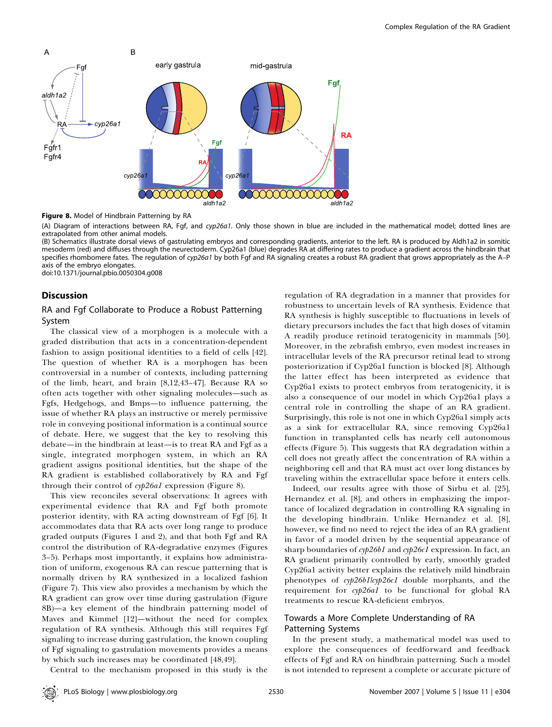

**Figure 8.** Model of Hindbrain Patterning by RA

(A) Diagram of interactions between RA, Fgf, and cyp26a1. Only those shown in blue are included in the mathematical model; dotted lines are extrapolated from other animal models.

(B) Schematics illustrate dorsal views of gastrulating embryos and corresponding gradients, anterior to the left. RA is produced by Aldh1a2 in somitic mesoderm (red) and diffuses through the neurectoderm. Cyp26a1 (blue) degrades RA at differing rates to produce a gradient across the hindbrain that specifies rhombomere fates. The regulation of cyp26a1 by both Fgf and RA signaling creates a robust RA gradient that grows appropriately as the A–P axis of the embryo elongates.

doi:10.1371/journal.pbio.0050304.g008

#### Discussion

## RA and Fgf Collaborate to Produce a Robust Patterning System

The classical view of a morphogen is a molecule with a graded distribution that acts in a concentration-dependent fashion to assign positional identities to a field of cells [42]. The question of whether RA is a morphogen has been controversial in a number of contexts, including patterning of the limb, heart, and brain [8,12,43–47]. Because RA so often acts together with other signaling molecules—such as Fgfs, Hedgehogs, and Bmps—to influence patterning, the issue of whether RA plays an instructive or merely permissive role in conveying positional information is a continual source of debate. Here, we suggest that the key to resolving this debate—in the hindbrain at least—is to treat RA and Fgf as a single, integrated morphogen system, in which an RA gradient assigns positional identities, but the shape of the RA gradient is established collaboratively by RA and Fgf through their control of cyp26a1 expression (Figure 8).

This view reconciles several observations: It agrees with experimental evidence that RA and Fgf both promote posterior identity, with RA acting downstream of Fgf [6]. It accommodates data that RA acts over long range to produce graded outputs (Figures 1 and 2), and that both Fgf and RA control the distribution of RA-degradative enzymes (Figures 3–5). Perhaps most importantly, it explains how administration of uniform, exogenous RA can rescue patterning that is normally driven by RA synthesized in a localized fashion (Figure 7). This view also provides a mechanism by which the RA gradient can grow over time during gastrulation (Figure 8B)—a key element of the hindbrain patterning model of Maves and Kimmel [12]—without the need for complex regulation of RA synthesis. Although this still requires Fgf signaling to increase during gastrulation, the known coupling of Fgf signaling to gastrulation movements provides a means by which such increases may be coordinated [48,49].

regulation of RA degradation in a manner that provides for robustness to uncertain levels of RA synthesis. Evidence that RA synthesis is highly susceptible to fluctuations in levels of dietary precursors includes the fact that high doses of vitamin A readily produce retinoid teratogenicity in mammals [50]. Moreover, in the zebrafish embryo, even modest increases in intracellular levels of the RA precursor retinal lead to strong posteriorization if Cyp26a1 function is blocked [8]. Although the latter effect has been interpreted as evidence that Cyp26a1 exists to protect embryos from teratogenicity, it is also a consequence of our model in which Cyp26a1 plays a central role in controlling the shape of an RA gradient. Surprisingly, this role is not one in which Cyp26a1 simply acts as a sink for extracellular RA, since removing Cyp26a1 function in transplanted cells has nearly cell autonomous effects (Figure 5). This suggests that RA degradation within a cell does not greatly affect the concentration of RA within a neighboring cell and that RA must act over long distances by traveling within the extracellular space before it enters cells.

Indeed, our results agree with those of Sirbu et al. [25], Hernandez et al. [8], and others in emphasizing the importance of localized degradation in controlling RA signaling in the developing hindbrain. Unlike Hernandez et al. [8], however, we find no need to reject the idea of an RA gradient in favor of a model driven by the sequential appearance of sharp boundaries of  $\epsilon \psi/26b1$  and  $\epsilon \psi/26c1$  expression. In fact, an RA gradient primarily controlled by early, smoothly graded Cyp26a1 activity better explains the relatively mild hindbrain phenotypes of cyp26b1lcyp26c1 double morphants, and the requirement for cyp26a1 to be functional for global RA treatments to rescue RA-deficient embryos.

## Towards a More Complete Understanding of RA Patterning Systems

In the present study, a mathematical model was used to explore the consequences of feedforward and feedback effects of Fgf and RA on hindbrain patterning. Such a model is not intended to represent a complete or accurate picture of

Central to the mechanism proposed in this study is the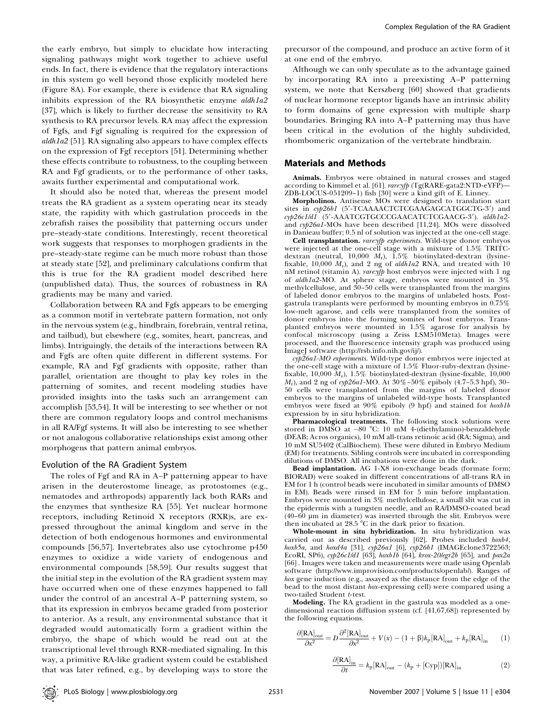the early embryo, but simply to elucidate how interacting signaling pathways might work together to achieve useful ends. In fact, there is evidence that the regulatory interactions in this system go well beyond those explicitly modeled here (Figure 8A). For example, there is evidence that RA signaling inhibits expression of the RA biosynthetic enzyme *aldh1a2* [37], which is likely to further decrease the sensitivity to RA synthesis to RA precursor levels. RA may affect the expression of Fgfs, and Fgf signaling is required for the expression of aldh1a2 [51]. RA signaling also appears to have complex effects on the expression of Fgf receptors [51]. Determining whether these effects contribute to robustness, to the coupling between RA and Fgf gradients, or to the performance of other tasks, awaits further experimental and computational work.

It should also be noted that, whereas the present model treats the RA gradient as a system operating near its steady state, the rapidity with which gastrulation proceeds in the zebrafish raises the possibility that patterning occurs under pre–steady-state conditions. Interestingly, recent theoretical work suggests that responses to morphogen gradients in the pre–steady-state regime can be much more robust than those at steady state [52], and preliminary calculations confirm that this is true for the RA gradient model described here (unpublished data). Thus, the sources of robustness in RA gradients may be many and varied.

Collaboration between RA and Fgfs appears to be emerging as a common motif in vertebrate pattern formation, not only in the nervous system (e.g., hindbrain, forebrain, ventral retina, and tailbud), but elsewhere (e.g., somites, heart, pancreas, and limbs). Intriguingly, the details of the interactions between RA and Fgfs are often quite different in different systems. For example, RA and Fgf gradients with opposite, rather than parallel, orientation are thought to play key roles in the patterning of somites, and recent modeling studies have provided insights into the tasks such an arrangement can accomplish [53,54]. It will be interesting to see whether or not there are common regulatory loops and control mechanisms in all RA/Fgf systems. It will also be interesting to see whether or not analogous collaborative relationships exist among other morphogens that pattern animal embryos.

#### Evolution of the RA Gradient System

The roles of Fgf and RA in A–P patterning appear to have arisen in the deuterostome lineage, as protostomes (e.g., nematodes and arthropods) apparently lack both RARs and the enzymes that synthesize RA [55]. Yet nuclear hormone receptors, including Retinoid X receptors (RXR)s, are expressed throughout the animal kingdom and serve in the detection of both endogenous hormones and environmental compounds [56,57]. Invertebrates also use cytochrome p450 enzymes to oxidize a wide variety of endogenous and environmental compounds [58,59]. Our results suggest that the initial step in the evolution of the RA gradient system may have occurred when one of these enzymes happened to fall under the control of an ancestral A–P patterning system, so that its expression in embryos became graded from posterior to anterior. As a result, any environmental substance that it degraded would automatically form a gradient within the embryo, the shape of which would be read out at the transcriptional level through RXR-mediated signaling. In this way, a primitive RA-like gradient system could be established that was later refined, e.g., by developing ways to store the

precursor of the compound, and produce an active form of it at one end of the embryo.

Although we can only speculate as to the advantage gained by incorporating RA into a preexisting A–P patterning system, we note that Kerszberg [60] showed that gradients of nuclear hormone receptor ligands have an intrinsic ability to form domains of gene expression with multiple sharp boundaries. Bringing RA into A–P patterning may thus have been critical in the evolution of the highly subdivided, rhombomeric organization of the vertebrate hindbrain.

#### Materials and Methods

Animals. Embryos were obtained in natural crosses and staged according to Kimmel et al. [61]. rare:yfp (Tg(RARE-gata2:NTD-eYFP)-ZDB-LOCUS-051209–1) fish [30] were a kind gift of E. Linney.

Morpholinos. Antisense MOs were designed to translation start sites in cyp26b1 (5'-TCAAAACTCTCGAAGAGCATGGCTG-3') and cyp26c1/d1 (5'-AAATCGTGCCCGAACATCTCGAACG-3'). aldh1a2and cyp26a1-MOs have been described [11,24]. MOs were dissolved in Danieau buffer; 0.5 nl of solution was injected at the one-cell stage.

Cell transplantation. rare:yfp experiments. Wild-type donor embryos were injected at the one-cell stage with a mixture of 1.5% TRITCdextran (neutral, 10,000  $M_r$ ), 1.5% biotinylated-dextran (lysinefixable, 10,000  $M_r$ ), and 2 ng of *aldh1a2* RNA, and treated with 10 nM retinol (vitamin A). rare: yfp host embryos were injected with 1 ng of aldh1a2-MO. At sphere stage, embryos were mounted in 3% methylcellulose, and 30–50 cells were transplanted from the margins of labeled donor embryos to the margins of unlabeled hosts. Postgastrula transplants were performed by mounting embryos in 0.75% low-melt agarose, and cells were transplanted from the somites of donor embryos into the forming somites of host embryos. Transplanted embryos were mounted in 1.5% agarose for analysis by confocal microscopy (using a Zeiss LSM510Meta). Images were processed, and the fluorescence intensity graph was produced using ImageJ software (http://rsb.info.nih.gov/ij/).

cyp26a1-MO experiments. Wild-type donor embryos were injected at the one-cell stage with a mixture of 1.5% Fluor-ruby-dextran (lysinefixable, 10,000  $M_r$ ), 1.5% biotinylated-dextran (lysine-fixable, 10,000  $M_r$ ), and 2 ng of cyp26a1-MO. At  $30\%$ –50% epiboly (4.7–5.3 hpf), 30– 50 cells were transplanted from the margins of labeled donor embryos to the margins of unlabeled wild-type hosts. Transplanted embryos were fixed at 90% epiboly (9 hpf) and stained for hoxb1b expression by in situ hybridization.

Pharmacological treatments. The following stock solutions were stored in DMSO at -80 °C: 10 mM 4-(diethylamino)-benzaldehyde (DEAB; Acros organics), 10 mM all-trans retinoic acid (RA; Sigma), and 10 mM SU5402 (CalBiochem). These were diluted in Embryo Medium (EM) for treatments. Sibling controls were incubated in corresponding dilutions of DMSO. All incubations were done in the dark.

Bead implantation. AG 1-X8 ion-exchange beads (formate form; BIORAD) were soaked in different concentrations of all-trans RA in EM for 1 h (control beads were incubated in similar amounts of DMSO in EM). Beads were rinsed in EM for 5 min before implantation. Embryos were mounted in 3% methylcellulose, a small slit was cut in the epidermis with a tungsten needle, and an RA/DMSO-coated bead  $(40-60 \mu m)$  in diameter) was inserted through the slit. Embryos were then incubated at 28.5  $^{\circ}$ C in the dark prior to fixation.

Whole-mount in situ hybridization. In situ hybridization was carried out as described previously [62]. Probes included hoxb4, hoxb5a, and hoxd4a [31],  $cyp26a1$  [6],  $cyp26b1$  (IMAGEclone3722563; EcoRI, SP6), cyp26c1/d1 [63], hoxb1b [64], krox-20/egr2b [65], and pax2a [66] . Images were taken and measurements were made using Openlab software (http://www.improvision.com/products/openlab/). Ranges of hox gene induction (e.g., assayed as the distance from the edge of the bead to the most distant hox-expressing cell) were compared using a two-tailed Student t-test.

Modeling. The RA gradient in the gastrula was modeled as a onedimensional reaction diffusion system (cf. [41,67,68]) represented by the following equations.

$$
\frac{\partial [\text{RA}]_{\text{out}}}{\partial x^2} = D \frac{\partial^2 [\text{RA}]_{\text{out}}}{\partial x^2} + V(x) - (1 + \beta) k_\text{p} [\text{RA}]_{\text{out}} + k_\text{p} [\text{RA}]_{\text{in}} \tag{1}
$$

$$
\frac{\partial [\text{RA}]_{\text{in}}}{\partial t} = k_{\text{p}} [\text{RA}]_{\text{out}} - (k_{\text{p}} + [\text{Cyp}]) [\text{RA}]_{\text{in}} \tag{2}
$$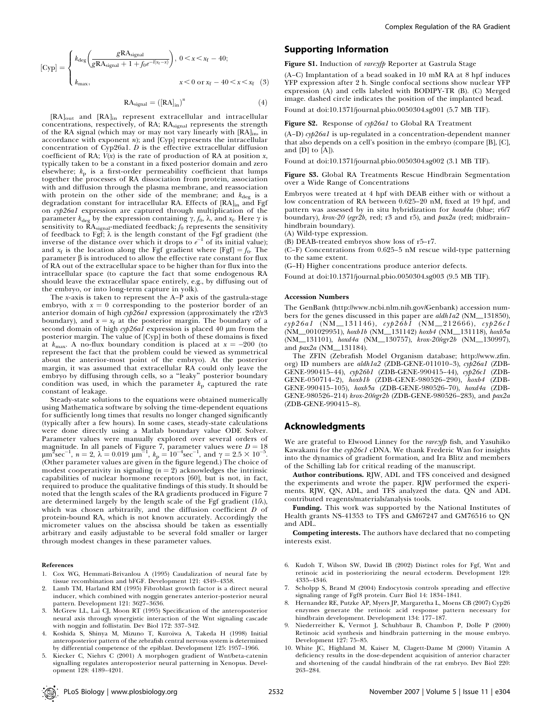[Cyp] = 
$$
\begin{cases} k_{\text{deg}} \left( \frac{g \text{RA}_{\text{signal}}}{g \text{RA}_{\text{signal}} + 1 + f_0 e^{-l(x_f - x)}} \right), \ 0 < x < x_f - 40; \\ k_{\text{max}}, & x < 0 \text{ or } x_f - 40 < x < x_f \end{cases} \tag{3}
$$

$$
RA_{signal} = ([RA]_{in})^{n}
$$
 (4)

[RA]out and [RA]in represent extracellular and intracellular concentrations, respectively, of RA; RAsignal represents the strength of the RA signal (which may or may not vary linearly with  $[RA]_{in}$ , in accordance with exponent n); and [Cyp] represents the intracellular concentration of Cyp26a1.  $D$  is the effective extracellular diffusion coefficient of RA;  $V(x)$  is the rate of production of RA at position  $x$ , typically taken to be a constant in a fixed posterior domain and zero elsewhere;  $k_p$  is a first-order permeability coefficient that lumps together the processes of RA dissociation from protein, association with and diffusion through the plasma membrane, and reassociation with protein on the other side of the membrane; and  $k_{\text{deg}}$  is a degradation constant for intracellular RA. Effects of [RA]<sub>in</sub> and Fgf on cyp26a1 expression are captured through multiplication of the parameter  $k_{\text{deg}}$  by the expression containing  $\gamma$ ,  $f_0$ ,  $\lambda$ , and  $x_f$ . Here  $\gamma$  is sensitivity to  $\tilde{R}A_{signal}$ -mediated feedback;  $f_0$  represents the sensitivity of feedback to Fgf;  $\lambda$  is the length constant of the Fgf gradient (the inverse of the distance over which it drops to  $e^{-1}$  of its initial value); and  $x_f$  is the location along the Fgf gradient where [Fgf] =  $f_0$ . The parameter  $\beta$  is introduced to allow the effective rate constant for flux of RA out of the extracellular space to be higher than for flux into the intracellular space (to capture the fact that some endogenous RA should leave the extracellular space entirely, e.g., by diffusing out of the embryo, or into long-term capture in yolk).

The x-axis is taken to represent the A–P axis of the gastrula-stage embryo, with  $x = 0$  corresponding to the posterior border of an anterior domain of high cyp26a1 expression (approximately the r2/r3 boundary), and  $x = x_f$  at the posterior margin. The boundary of a second domain of high cyp26a1 expression is placed 40 µm from the posterior margin. The value of [Cyp] in both of these domains is fixed at  $k_{\text{max}}$ . A no-flux boundary condition is placed at  $x = -200$  (to represent the fact that the problem could be viewed as symmetrical about the anterior-most point of the embryo). At the posterior margin, it was assumed that extracellular RA could only leave the embryo by diffusing through cells, so a ''leaky'' posterior boundary condition was used, in which the parameter  $k_p$  captured the rate constant of leakage.

Steady-state solutions to the equations were obtained numerically using Mathematica software by solving the time-dependent equations for sufficiently long times that results no longer changed significantly (typically after a few hours). In some cases, steady-state calculations were done directly using a Matlab boundary value ODE Solver. Parameter values were manually explored over several orders of magnitude. In all panels of Figure 7, parameter values were  $D = 18$ <br> $\mu$ m<sup>2</sup>sec<sup>-1</sup>,  $n = 2$ ,  $\lambda = 0.019$   $\mu$ m<sup>-1</sup>,  $k$ <sub>p</sub> = 10<sup>-4</sup>sec<sup>-1</sup>, and  $\gamma = 2.5 \times 10^{-5}$ . (Other parameter values are given in the figure legend.) The choice of modest cooperativity in signaling  $(n = 2)$  acknowledges the intrinsic capabilities of nuclear hormone receptors [60], but is not, in fact, required to produce the qualitative findings of this study. It should be noted that the length scales of the RA gradients produced in Figure 7 are determined largely by the length scale of the Fgf gradient (1/ $\lambda$ ), which was chosen arbitrarily, and the diffusion coefficient D of protein-bound RA, which is not known accurately. Accordingly the micrometer values on the abscissa should be taken as essentially arbitrary and easily adjustable to be several fold smaller or larger through modest changes in these parameter values.

#### References

- 1. Cox WG, Hemmati-Brivanlou A (1995) Caudalization of neural fate by tissue recombination and bFGF. Development 121: 4349–4358.
- Lamb TM, Harland RM (1995) Fibroblast growth factor is a direct neural inducer, which combined with noggin generates anterior-posterior neural pattern. Development 121: 3627–3636.
- 3. McGrew LL, Lai CJ, Moon RT (1995) Specification of the anteroposterior neural axis through synergistic interaction of the Wnt signaling cascade with noggin and follistatin. Dev Biol 172: 337–342.
- 4. Koshida S, Shinya M, Mizuno T, Kuroiwa A, Takeda H (1998) Initial anteroposterior pattern of the zebrafish central nervous system is determined by differential competence of the epiblast. Development 125: 1957–1966.
- 5. Kiecker C, Niehrs C (2001) A morphogen gradient of Wnt/beta-catenin signalling regulates anteroposterior neural patterning in Xenopus. Development 128: 4189–4201.

#### Supporting Information

Figure S1. Induction of rare:yfp Reporter at Gastrula Stage

(A–C) Implantation of a bead soaked in 10 mM RA at 8 hpf induces YFP expression after 2 h. Single confocal sections show nuclear YFP expression (A) and cells labeled with BODIPY-TR (B). (C) Merged image. dashed circle indicates the position of the implanted bead.

Found at doi:10.1371/journal.pbio.0050304.sg001 (5.7 MB TIF).

Figure S2. Response of cyp26a1 to Global RA Treatment

(A–D) cyp26a1 is up-regulated in a concentration-dependent manner that also depends on a cell's position in the embryo (compare [B], [C], and [D] to [A]).

Found at doi:10.1371/journal.pbio.0050304.sg002 (3.1 MB TIF).

Figure S3. Global RA Treatments Rescue Hindbrain Segmentation over a Wide Range of Concentrations

Embryos were treated at 4 hpf with DEAB either with or without a low concentration of RA between 0.625–20 nM, fixed at 19 hpf, and pattern was assessed by in situ hybridization for hoxd4a (blue; r6/7 boundary), krox-20 (egr2b, red; r3 and r5), and pax2a (red; midbrainhindbrain boundary).

(A) Wild-type expression.

(B) DEAB-treated embryos show loss of r5–r7.

(C–F) Concentrations from 0.625–5 nM rescue wild-type patterning to the same extent.

(G–H) Higher concentrations produce anterior defects.

Found at doi:10.1371/journal.pbio.0050304.sg003 (9.5 MB TIF).

#### Accession Numbers

The GenBank (http://www.ncbi.nlm.nih.gov/Genbank) accession numbers for the genes discussed in this paper are aldh1a2 (NM\_131850),  $\exp 26a1$  (NM\_131146),  $\exp 26b1$  (NM\_212666),  $\exp 26c1$ (NM\_001029951), hoxb1b (NM\_131142) hoxb4 (NM\_131118), hoxb5a (NM\_131101), hoxd4a (NM\_130757), krox-20/egr2b (NM\_130997), and pax2a (NM\_131184).

The ZFIN (Zebrafish Model Organism database; http://www.zfin. org) ID numbers are aldh1a2 (ZDB-GENE-011010-3), cyp26a1 (ZDB-GENE-990415–44), cyp26b1 (ZDB-GENE-990415–44), cyp26c1 (ZDB-GENE-050714–2), hoxb1b (ZDB-GENE-980526–290), hoxb4 (ZDB-GENE-990415–105), hoxb5a (ZDB-GENE-980526–70), hoxd4a (ZDB-GENE-980526–214) krox-20/egr2b (ZDB-GENE-980526–283), and pax2a (ZDB-GENE-990415–8).

#### Acknowledgments

We are grateful to Elwood Linney for the rare:yfp fish, and Yasuhiko Kawakami for the cyp26c1 cDNA. We thank Frederic Wan for insights into the dynamics of gradient formation, and Ira Blitz and members of the Schilling lab for critical reading of the manuscript.

Author contributions. RJW, ADL and TFS conceived and designed the experiments and wrote the paper. RJW performed the experiments. RJW, QN, ADL, and TFS analyzed the data. QN and ADL contributed reagents/materials/analysis tools.

Funding. This work was supported by the National Institutes of Health grants NS-41353 to TFS and GM67247 and GM76516 to QN and ADL.

Competing interests. The authors have declared that no competing interests exist.

- 6. Kudoh T, Wilson SW, Dawid IB (2002) Distinct roles for Fgf, Wnt and retinoic acid in posteriorizing the neural ectoderm. Development 129: 4335–4346.
- 7. Scholpp S, Brand M (2004) Endocytosis controls spreading and effective signaling range of Fgf8 protein. Curr Biol 14: 1834–1841.
- 8. Hernandez RE, Putzke AP, Myers JP, Margaretha L, Moens CB (2007) Cyp26 enzymes generate the retinoic acid response pattern necessary for hindbrain development. Development 134: 177–187.
- 9. Niederreither K, Vermot J, Schuhbaur B, Chambon P, Dolle P (2000) Retinoic acid synthesis and hindbrain patterning in the mouse embryo. Development 127: 75–85.
- 10. White JC, Highland M, Kaiser M, Clagett-Dame M (2000) Vitamin A deficiency results in the dose-dependent acquisition of anterior character and shortening of the caudal hindbrain of the rat embryo. Dev Biol 220: 263–284.